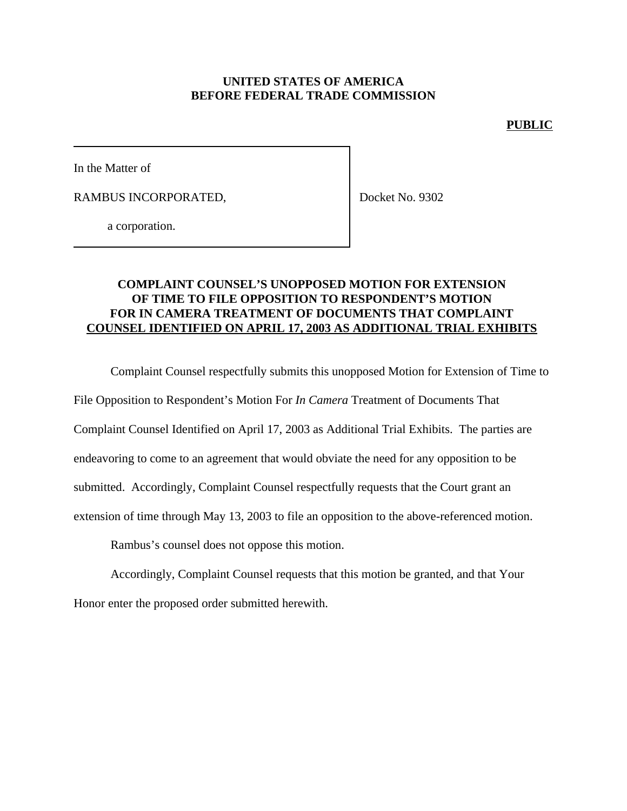## **UNITED STATES OF AMERICA BEFORE FEDERAL TRADE COMMISSION**

#### **PUBLIC**

In the Matter of

RAMBUS INCORPORATED,

Docket No. 9302

a corporation.

## **COMPLAINT COUNSEL'S UNOPPOSED MOTION FOR EXTENSION OF TIME TO FILE OPPOSITION TO RESPONDENT'S MOTION FOR IN CAMERA TREATMENT OF DOCUMENTS THAT COMPLAINT COUNSEL IDENTIFIED ON APRIL 17, 2003 AS ADDITIONAL TRIAL EXHIBITS**

Complaint Counsel respectfully submits this unopposed Motion for Extension of Time to

File Opposition to Respondent's Motion For *In Camera* Treatment of Documents That

Complaint Counsel Identified on April 17, 2003 as Additional Trial Exhibits. The parties are

endeavoring to come to an agreement that would obviate the need for any opposition to be

submitted. Accordingly, Complaint Counsel respectfully requests that the Court grant an

extension of time through May 13, 2003 to file an opposition to the above-referenced motion.

Rambus's counsel does not oppose this motion.

Accordingly, Complaint Counsel requests that this motion be granted, and that Your Honor enter the proposed order submitted herewith.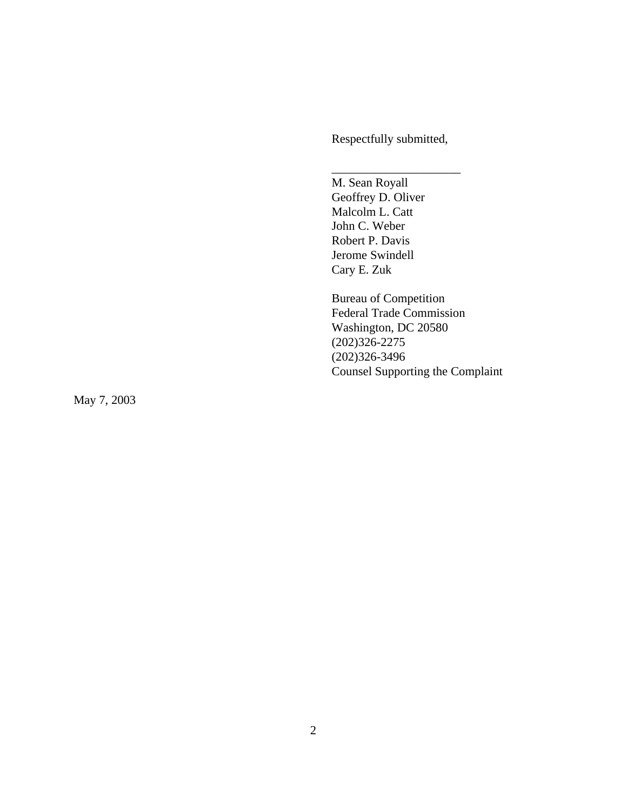Respectfully submitted,

\_\_\_\_\_\_\_\_\_\_\_\_\_\_\_\_\_\_\_\_\_

M. Sean Royall Geoffrey D. Oliver Malcolm L. Catt John C. Weber Robert P. Davis Jerome Swindell Cary E. Zuk

Bureau of Competition Federal Trade Commission Washington, DC 20580 (202)326-2275 (202)326-3496 Counsel Supporting the Complaint

May 7, 2003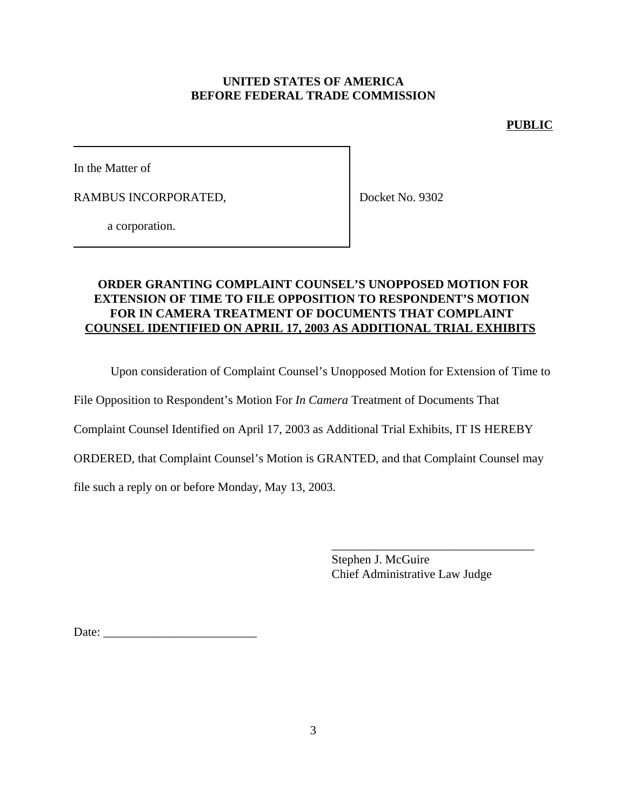# **UNITED STATES OF AMERICA BEFORE FEDERAL TRADE COMMISSION**

## **PUBLIC**

In the Matter of

RAMBUS INCORPORATED,

Docket No. 9302

a corporation.

# **ORDER GRANTING COMPLAINT COUNSEL'S UNOPPOSED MOTION FOR EXTENSION OF TIME TO FILE OPPOSITION TO RESPONDENT'S MOTION FOR IN CAMERA TREATMENT OF DOCUMENTS THAT COMPLAINT COUNSEL IDENTIFIED ON APRIL 17, 2003 AS ADDITIONAL TRIAL EXHIBITS**

Upon consideration of Complaint Counsel's Unopposed Motion for Extension of Time to

File Opposition to Respondent's Motion For *In Camera* Treatment of Documents That

Complaint Counsel Identified on April 17, 2003 as Additional Trial Exhibits, IT IS HEREBY

ORDERED, that Complaint Counsel's Motion is GRANTED, and that Complaint Counsel may

file such a reply on or before Monday, May 13, 2003.

Stephen J. McGuire Chief Administrative Law Judge

\_\_\_\_\_\_\_\_\_\_\_\_\_\_\_\_\_\_\_\_\_\_\_\_\_\_\_\_\_\_\_\_\_

Date: